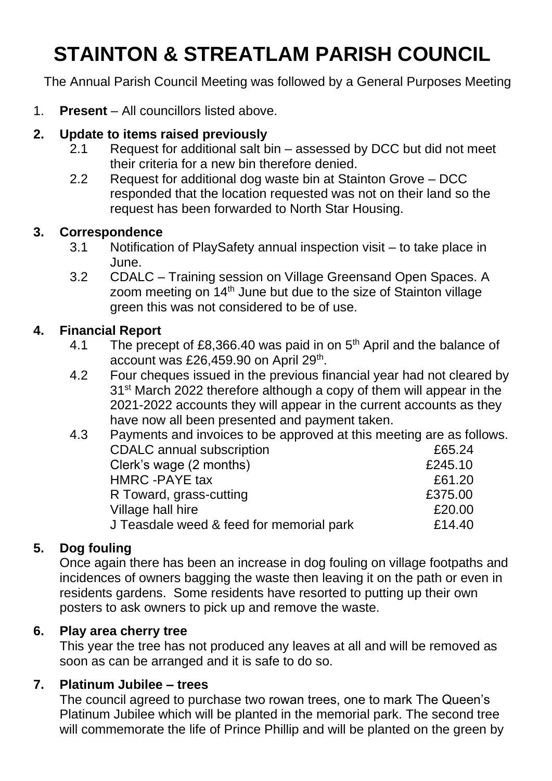# **STAINTON & STREATLAM PARISH COUNCIL**

The Annual Parish Council Meeting was followed by a General Purposes Meeting

1. **Present** – All councillors listed above.

# **2. Update to items raised previously**

- 2.1 Request for additional salt bin assessed by DCC but did not meet their criteria for a new bin therefore denied.
- 2.2 Request for additional dog waste bin at Stainton Grove DCC responded that the location requested was not on their land so the request has been forwarded to North Star Housing.

#### **3. Correspondence**

- 3.1 Notification of PlaySafety annual inspection visit to take place in June.
- 3.2 CDALC Training session on Village Greensand Open Spaces. A zoom meeting on 14<sup>th</sup> June but due to the size of Stainton village green this was not considered to be of use.

# **4. Financial Report**

- 4.1 The precept of £8,366.40 was paid in on  $5<sup>th</sup>$  April and the balance of account was £26,459.90 on April 29<sup>th</sup>.
- 4.2 Four cheques issued in the previous financial year had not cleared by 31<sup>st</sup> March 2022 therefore although a copy of them will appear in the 2021-2022 accounts they will appear in the current accounts as they have now all been presented and payment taken.

| 4.3 | Payments and invoices to be approved at this meeting are as follows. |         |
|-----|----------------------------------------------------------------------|---------|
|     | <b>CDALC</b> annual subscription                                     | £65.24  |
|     | Clerk's wage (2 months)                                              | £245.10 |
|     | HMRC - PAYE tax                                                      | £61.20  |
|     | R Toward, grass-cutting                                              | £375.00 |
|     | Village hall hire                                                    | £20.00  |
|     | J Teasdale weed & feed for memorial park                             | £14.40  |
|     |                                                                      |         |

# **5. Dog fouling**

Once again there has been an increase in dog fouling on village footpaths and incidences of owners bagging the waste then leaving it on the path or even in residents gardens. Some residents have resorted to putting up their own posters to ask owners to pick up and remove the waste.

# **6. Play area cherry tree**

This year the tree has not produced any leaves at all and will be removed as soon as can be arranged and it is safe to do so.

# **7. Platinum Jubilee – trees**

The council agreed to purchase two rowan trees, one to mark The Queen's Platinum Jubilee which will be planted in the memorial park. The second tree will commemorate the life of Prince Phillip and will be planted on the green by